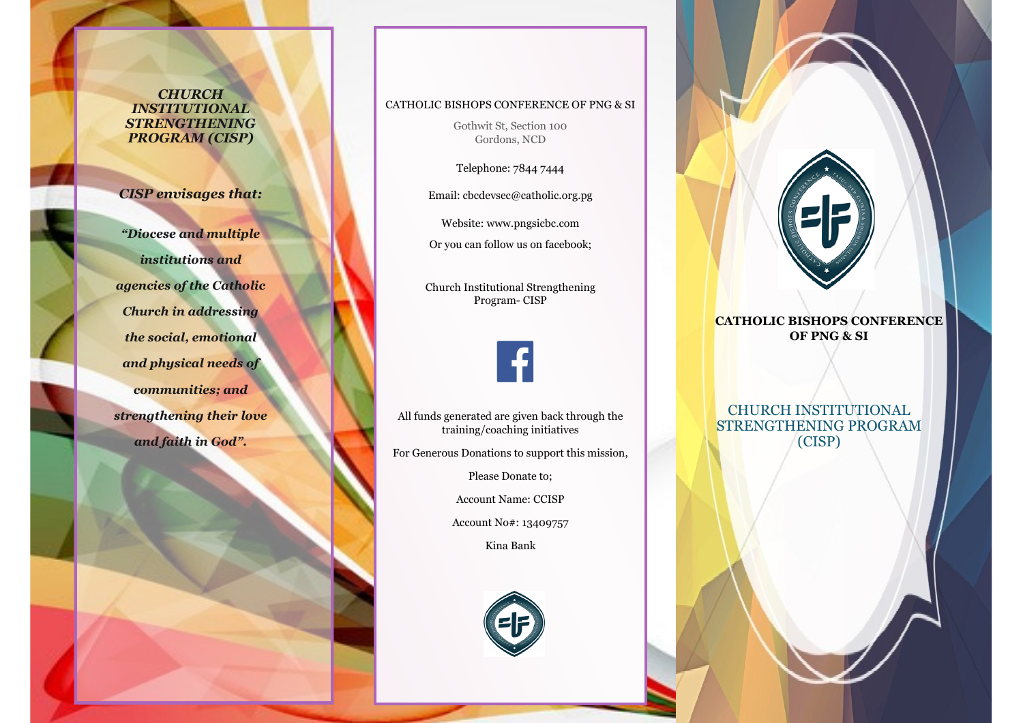*CHURCH INSTITUTIONAL STRENGTHENING PROGRAM (CISP)*

*CISP envisages that:*

*"Diocese and multiple institutions and agencies of the Catholic Church in addressing the social, emotional and physical needs of communities; and strengthening their love and faith in God".* 

## CATHOLIC BISHOPS CONFERENCE OF PNG & SI

Gothwit St, Section 100 Gordons, NCD

Telephone: 7844 7444

Email: cbcdevsec@catholic.org.pg

Website: www.pngsicbc.com

Or you can follow us on facebook;

Church Institutional Strengthening Program- CISP



All funds generated are given back through the training/coaching initiatives

For Generous Donations to support this mission,

Please Donate to;

Account Name: CCISP

Account No#: 13409757

Kina Bank





**CATHOLIC BISHOPS CONFERENCE OF PNG & SI**

CHURCH INSTITUTIONAL STRENGTHENING PROGRAM (CISP)